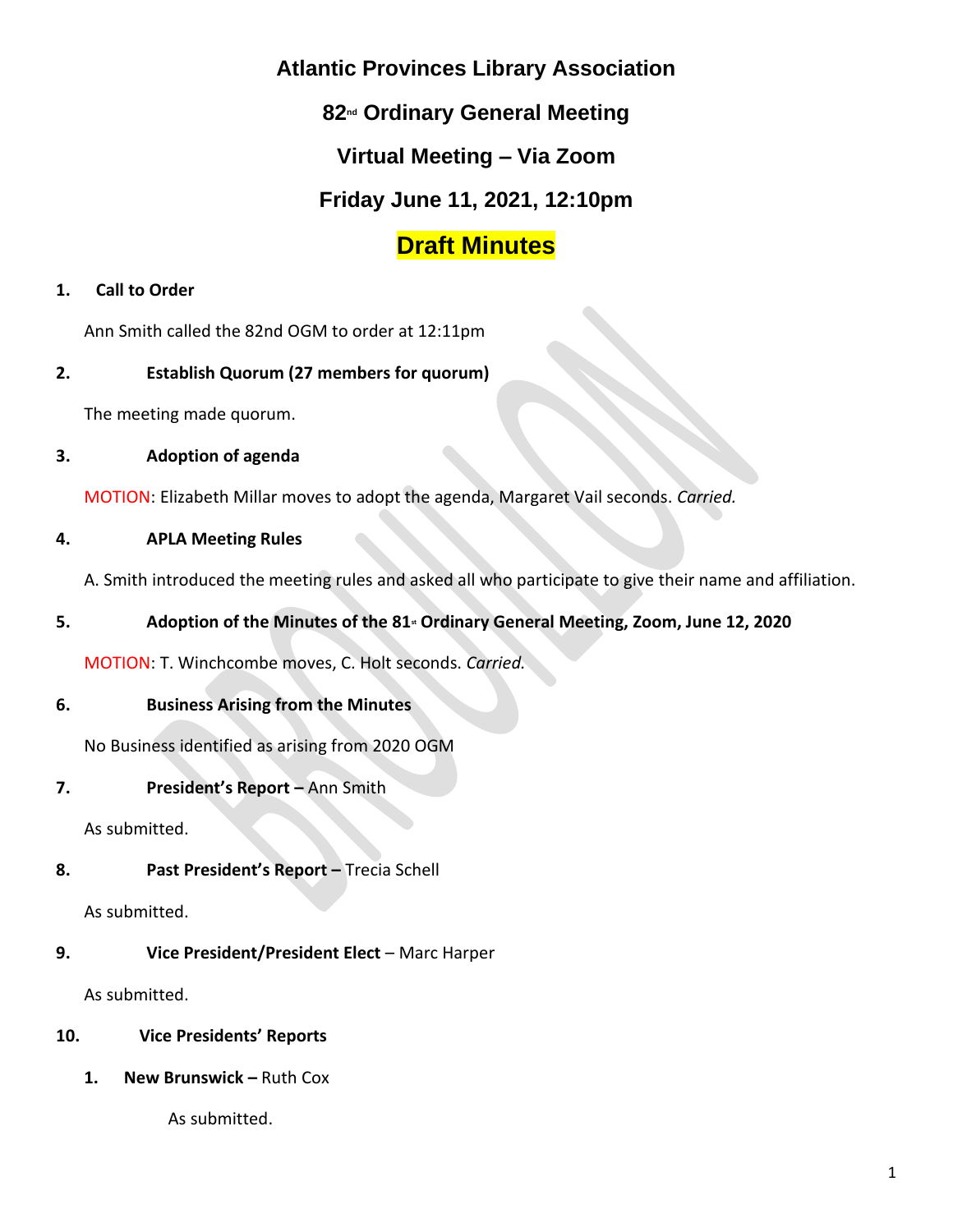## **Atlantic Provinces Library Association**

# **82nd Ordinary General Meeting**

# **Virtual Meeting – Via Zoom**

# **Friday June 11, 2021, 12:10pm**

# **Draft Minutes**

#### **1. Call to Order**

Ann Smith called the 82nd OGM to order at 12:11pm

#### **2. Establish Quorum (27 members for quorum)**

The meeting made quorum.

#### **3. Adoption of agenda**

MOTION: Elizabeth Millar moves to adopt the agenda, Margaret Vail seconds. *Carried.*

#### **4. APLA Meeting Rules**

A. Smith introduced the meeting rules and asked all who participate to give their name and affiliation.

#### **5. Adoption of the Minutes of the 81st Ordinary General Meeting, Zoom, June 12, 2020**

MOTION: T. Winchcombe moves, C. Holt seconds. *Carried.*

#### **6. Business Arising from the Minutes**

No Business identified as arising from 2020 OGM

#### **7. President's Report –** Ann Smith

As submitted.

#### **8. Past President's Report –** Trecia Schell

As submitted.

#### **9. Vice President/President Elect** – Marc Harper

As submitted.

#### **10. Vice Presidents' Reports**

**1. New Brunswick –** Ruth Cox

As submitted.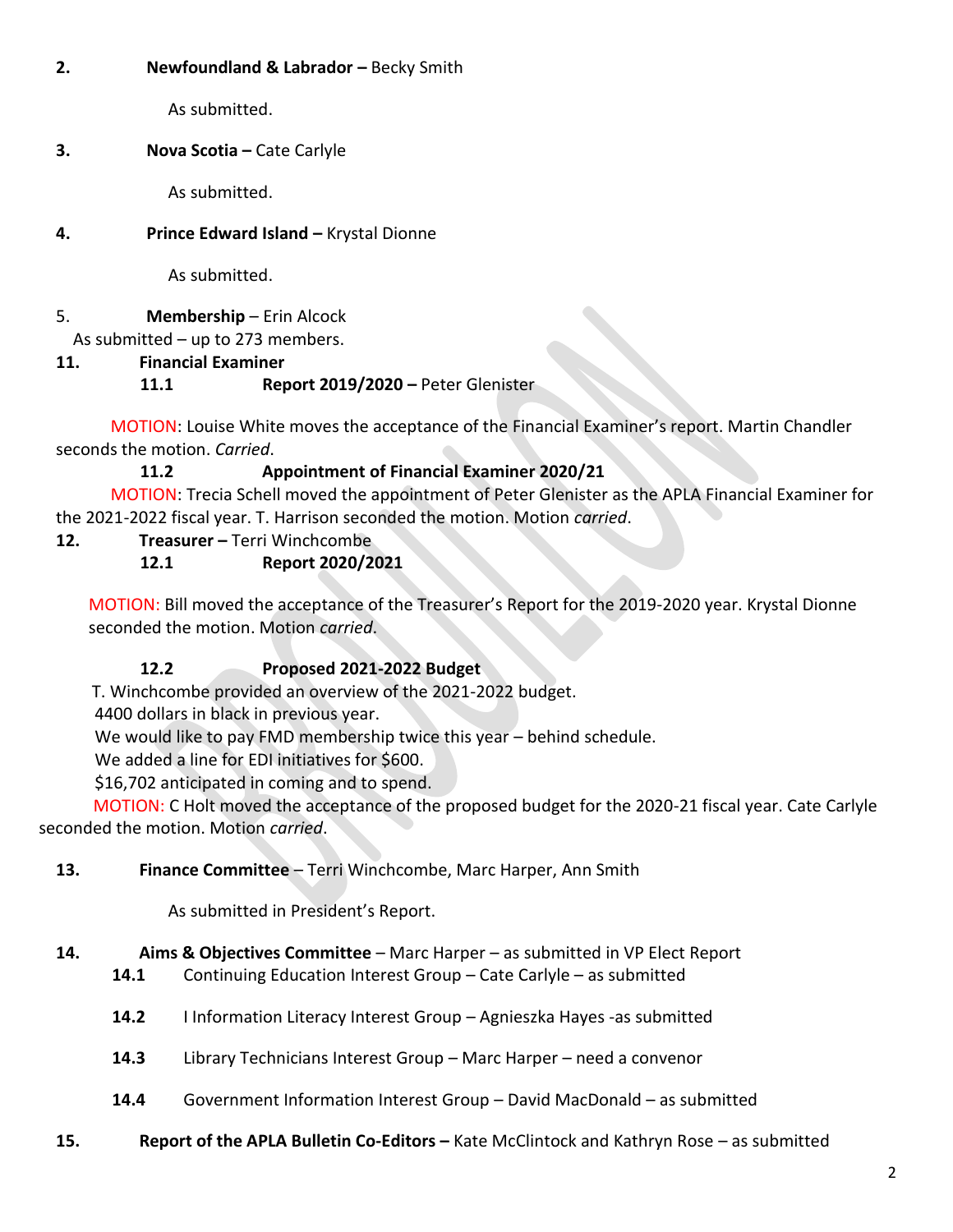#### **2. Newfoundland & Labrador –** Becky Smith

As submitted.

### **3. Nova Scotia –** Cate Carlyle

As submitted.

### **4. Prince Edward Island –** Krystal Dionne

As submitted.

5. **Membership** – Erin Alcock

As submitted – up to 273 members.

**11. Financial Examiner**

## **11.1 Report 2019/2020 –** Peter Glenister

MOTION: Louise White moves the acceptance of the Financial Examiner's report. Martin Chandler seconds the motion. *Carried*.

## **11.2 Appointment of Financial Examiner 2020/21**

MOTION: Trecia Schell moved the appointment of Peter Glenister as the APLA Financial Examiner for the 2021-2022 fiscal year. T. Harrison seconded the motion. Motion *carried*.

**12. Treasurer –** Terri Winchcombe

## **12.1 Report 2020/2021**

MOTION: Bill moved the acceptance of the Treasurer's Report for the 2019-2020 year. Krystal Dionne seconded the motion. Motion *carried*.

## **12.2 Proposed 2021-2022 Budget**

T. Winchcombe provided an overview of the 2021-2022 budget.

4400 dollars in black in previous year.

We would like to pay FMD membership twice this year – behind schedule.

We added a line for EDI initiatives for \$600.

\$16,702 anticipated in coming and to spend.

MOTION: C Holt moved the acceptance of the proposed budget for the 2020-21 fiscal year. Cate Carlyle seconded the motion. Motion *carried*.

## **13. Finance Committee** – Terri Winchcombe, Marc Harper, Ann Smith

As submitted in President's Report.

# **14. Aims & Objectives Committee** – Marc Harper – as submitted in VP Elect Report

- **14.1** Continuing Education Interest Group Cate Carlyle as submitted
- **14.2** I Information Literacy Interest Group Agnieszka Hayes -as submitted
- **14.3** Library Technicians Interest Group Marc Harper need a convenor
- **14.4** Government Information Interest Group David MacDonald as submitted
- **15. Report of the APLA Bulletin Co-Editors –** Kate McClintock and Kathryn Rose as submitted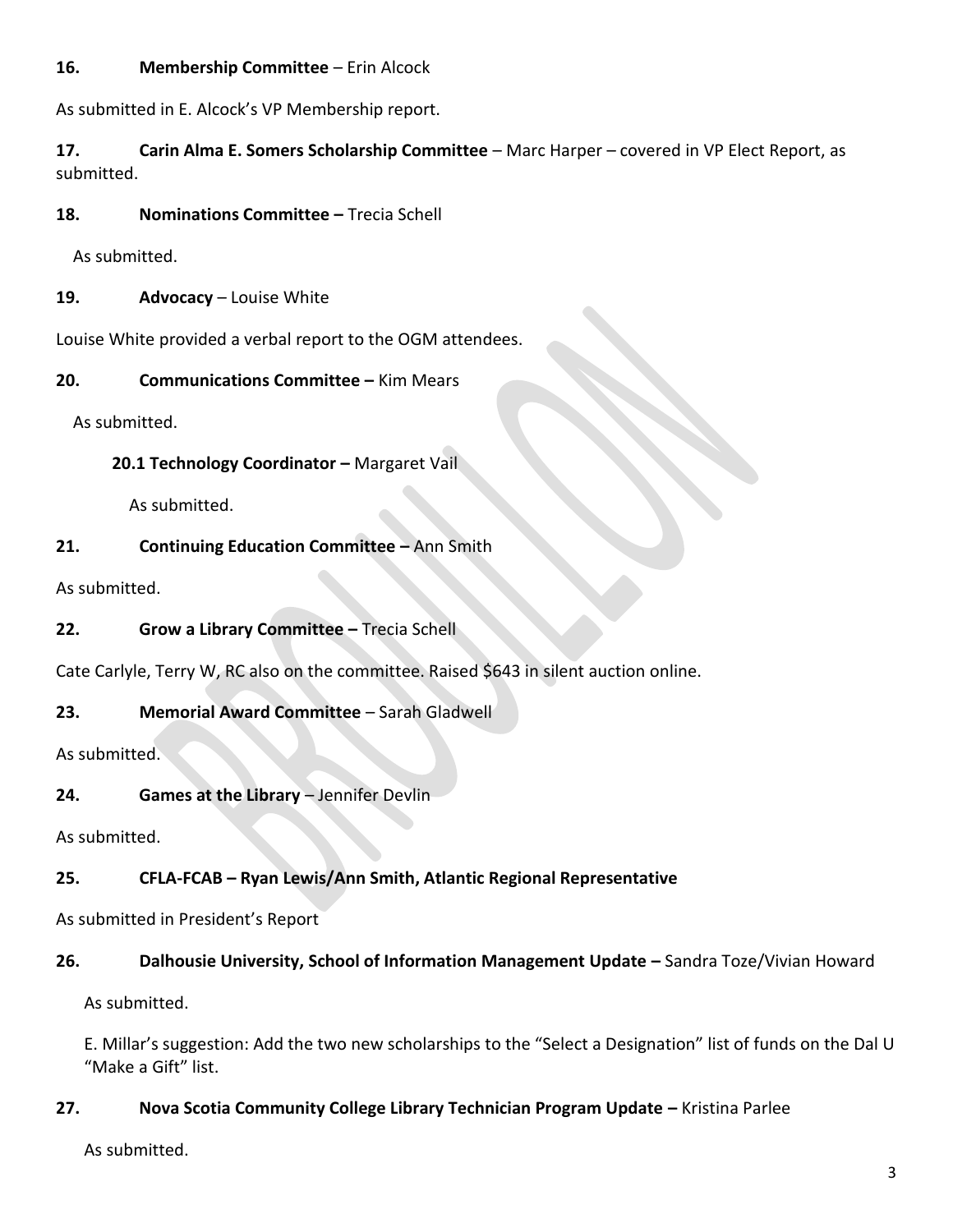#### **16. Membership Committee** – Erin Alcock

As submitted in E. Alcock's VP Membership report.

**17. Carin Alma E. Somers Scholarship Committee** – Marc Harper – covered in VP Elect Report, as submitted.

**18. Nominations Committee –** Trecia Schell

As submitted.

**19. Advocacy** – Louise White

Louise White provided a verbal report to the OGM attendees.

**20. Communications Committee –** Kim Mears

As submitted.

**20.1 Technology Coordinator - Margaret Vail** 

As submitted.

#### **21. Continuing Education Committee –** Ann Smith

As submitted.

**22. Grow a Library Committee –** Trecia Schell

Cate Carlyle, Terry W, RC also on the committee. Raised \$643 in silent auction online.

#### **23. Memorial Award Committee** – Sarah Gladwell

As submitted.

**24. Games at the Library** – Jennifer Devlin

As submitted.

## **25. CFLA-FCAB – Ryan Lewis/Ann Smith, Atlantic Regional Representative**

As submitted in President's Report

## 26. **Dalhousie University, School of Information Management Update - Sandra Toze/Vivian Howard**

As submitted.

E. Millar's suggestion: Add the two new scholarships to the "Select a Designation" list of funds on the Dal U "Make a Gift" list.

#### **27. Nova Scotia Community College Library Technician Program Update –** Kristina Parlee

As submitted.